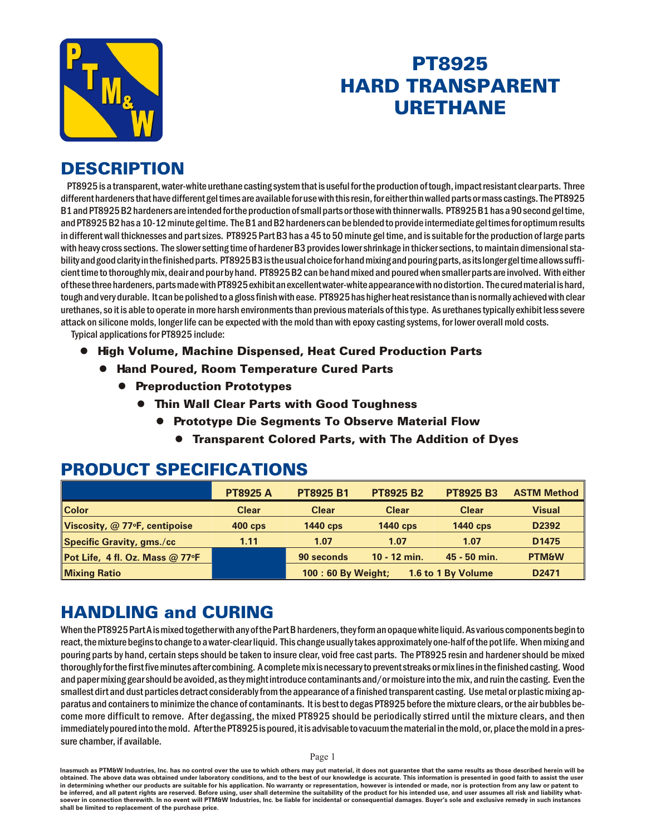

# PT8925 **HARD TRANSPARENT URETHANE**

### **DESCRIPTION**

PT8925 is a transparent, water-white urethane casting system that is useful for the production of tough, impact resistant clear parts. Three different hardeners that have different gel times are available for use with this resin, for either thin walled parts or mass castings. The PT8925 B1 and PT8925 B2 hardeners are intended for the production of small parts or those with thinner walls. PT8925 B1 has a 90 second gel time, and PT8925 B2 has a 10-12 minute gel time. The B1 and B2 hardeners can be blended to provide intermediate gel times for optimum results in different wall thicknesses and part sizes. PT8925 Part B3 has a 45 to 50 minute gel time, and is suitable for the production of large parts with heavy cross sections. The slower setting time of hardener B3 provides lower shrinkage in thicker sections, to maintain dimensional stability and good clarity in the finished parts. PT8925B3 is the usual choice for hand mixing and pouring parts, as its longer gel time allows sufficient time to thoroughly mix, deair and pour by hand. PT8925 B2 can be hand mixed and poured when smaller parts are involved. With either of these three hardeners, parts made with PT8925 exhibit an excellent water-white appearance with no distortion. The cured material is hard, tough and very durable. It can be polished to a gloss finish with ease. PT8925 has higher heat resistance than is normally achieved with clear ure thanes, so it is able to operate in more harsh environments than previous materials of this type. As ure thanes typically exhibit less severe attack on silicone molds, longer life can be expected with the mold than with epoxy casting systems, for lower overall mold costs.

Typical applications for PT8925 include:

- **High Volume, Machine Dispensed, Heat Cured Production Parts** 
	- **Hand Poured, Room Temperature Cured Parts** 
		- **Preproduction Prototypes** 
			- **Thin Wall Clear Parts with Good Toughness** 
				- Prototype Die Segments To Observe Material Flow
					- **Transparent Colored Parts, with The Addition of Dyes**

#### **PRODUCT SPECIFICATIONS**

|                                   | <b>PT8925 A</b> | <b>PT8925 B1</b>             | <b>PT8925 B2</b> | <b>PT8925 B3</b>   | <b>ASTM Method</b> |
|-----------------------------------|-----------------|------------------------------|------------------|--------------------|--------------------|
| <b>Color</b>                      | <b>Clear</b>    | <b>Clear</b><br><b>Clear</b> |                  | <b>Clear</b>       | <b>Visual</b>      |
| Viscosity, @ 77°F, centipoise     | <b>400 cps</b>  | <b>1440 cps</b>              | <b>1440 cps</b>  | <b>1440 cps</b>    |                    |
| Specific Gravity, gms./cc         | 1.11            | 1.07                         | 1.07             | 1.07               | D <sub>1475</sub>  |
| Pot Life, 4 fl. Oz. Mass $@$ 77°F |                 | 90 seconds                   | $10 - 12$ min.   | 45 - 50 min.       | <b>PTM&amp;W</b>   |
| <b>Mixing Ratio</b>               |                 | 100 : 60 By Weight;          |                  | 1.6 to 1 By Volume | D <sub>2471</sub>  |

### **HANDLING and CURING**

When the PT8925 Part A is mixed together with any of the Part B hardeners, they form an opaque white liquid. As various components begin to react, the mixture begins to change to a water-clear liquid. This change usually takes approximately one-half of the pot life. When mixing and pouring parts by hand, certain steps should be taken to insure clear, void free cast parts. The PT8925 resin and hardener should be mixed thoroughly for the first five minutes after combining. A complete mix is necessary to prevent streaks or mix lines in the finished casting. Wood and paper mixing gear should be avoided, as they might introduce contaminants and/or moisture into the mix, and ruin the casting. Even the smallest dirt and dust particles detract considerably from the appearance of a finished transparent casting. Use metal or plastic mixing apparatus and containers to minimize the chance of contaminants. It is best to degas PT8925 before the mixture clears, or the air bubbles become more difficult to remove. After degassing, the mixed PT8925 should be periodically stirred until the mixture clears, and then immediately poured into the mold. After the PT8925 is poured, it is advisable to vacuum the material in the mold, or, place the mold in a pressure chamber, if available.

Page 1

Inasmuch as PTM&W Industries, Inc. has no control over the use to which others may put material, it does not guarantee that the same results as those described herein will be obtained. The above data was obtained under laboratory conditions, and to the best of our knowledge is accurate. This information is presented in good faith to assist the user in determining whether our products are suitable for his application. No warranty or representation, however is intended or made, nor is protection from any law or patent to be inferred, and all patent rights are reserved. Before using, user shall determine the suitability of the product for his intended use, and user assumes all risk and liability whatsoever in connection therewith. In no event will PTM&W Industries, Inc. be liable for incidental or consequential damages. Buyer's sole and exclusive remedy in such instances shall be limited to replacement of the purchase price.